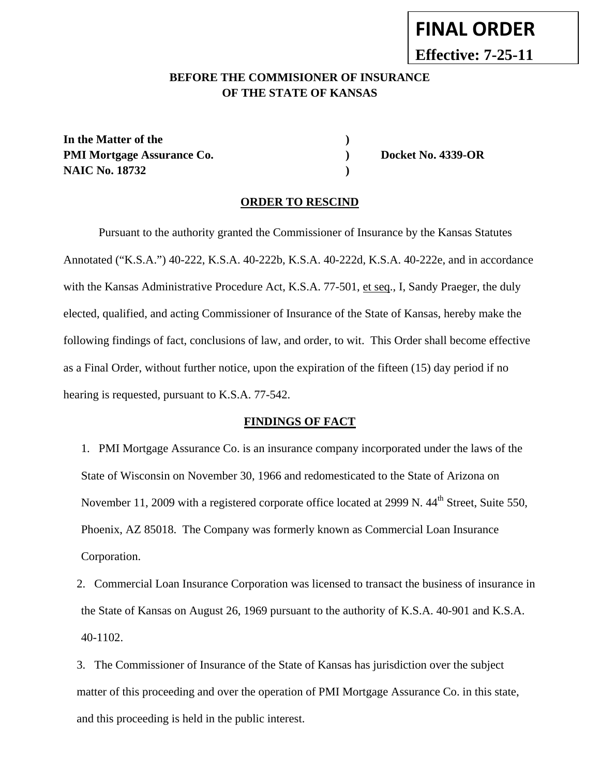# **FINAL ORDER**

**Effective: 7-25-11**

## **BEFORE THE COMMISIONER OF INSURANCE OF THE STATE OF KANSAS**

In the Matter of the **)** PMI Mortgage Assurance Co. **Docket No. 4339-OR NAIC No. 18732 )** 

#### **ORDER TO RESCIND**

Pursuant to the authority granted the Commissioner of Insurance by the Kansas Statutes Annotated ("K.S.A.") 40-222, K.S.A. 40-222b, K.S.A. 40-222d, K.S.A. 40-222e, and in accordance with the Kansas Administrative Procedure Act, K.S.A. 77-501, et seq., I, Sandy Praeger, the duly elected, qualified, and acting Commissioner of Insurance of the State of Kansas, hereby make the following findings of fact, conclusions of law, and order, to wit. This Order shall become effective as a Final Order, without further notice, upon the expiration of the fifteen (15) day period if no hearing is requested, pursuant to K.S.A. 77-542.

#### **FINDINGS OF FACT**

1. PMI Mortgage Assurance Co. is an insurance company incorporated under the laws of the State of Wisconsin on November 30, 1966 and redomesticated to the State of Arizona on November 11, 2009 with a registered corporate office located at 2999 N. 44<sup>th</sup> Street, Suite 550, Phoenix, AZ 85018. The Company was formerly known as Commercial Loan Insurance Corporation.

2. Commercial Loan Insurance Corporation was licensed to transact the business of insurance in the State of Kansas on August 26, 1969 pursuant to the authority of K.S.A. 40-901 and K.S.A. 40-1102.

3. The Commissioner of Insurance of the State of Kansas has jurisdiction over the subject matter of this proceeding and over the operation of PMI Mortgage Assurance Co. in this state, and this proceeding is held in the public interest.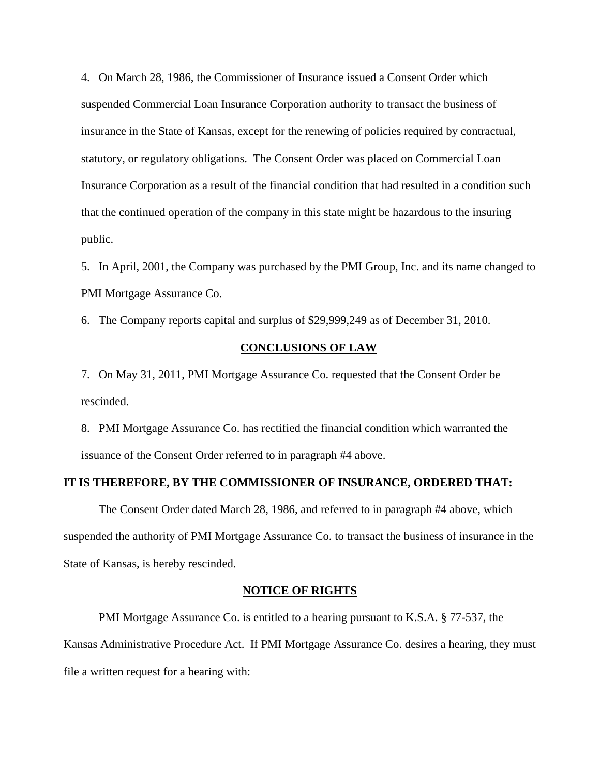4. On March 28, 1986, the Commissioner of Insurance issued a Consent Order which suspended Commercial Loan Insurance Corporation authority to transact the business of insurance in the State of Kansas, except for the renewing of policies required by contractual, statutory, or regulatory obligations. The Consent Order was placed on Commercial Loan Insurance Corporation as a result of the financial condition that had resulted in a condition such that the continued operation of the company in this state might be hazardous to the insuring public.

5. In April, 2001, the Company was purchased by the PMI Group, Inc. and its name changed to PMI Mortgage Assurance Co.

6. The Company reports capital and surplus of \$29,999,249 as of December 31, 2010.

#### **CONCLUSIONS OF LAW**

7. On May 31, 2011, PMI Mortgage Assurance Co. requested that the Consent Order be rescinded.

8. PMI Mortgage Assurance Co. has rectified the financial condition which warranted the issuance of the Consent Order referred to in paragraph #4 above.

#### **IT IS THEREFORE, BY THE COMMISSIONER OF INSURANCE, ORDERED THAT:**

The Consent Order dated March 28, 1986, and referred to in paragraph #4 above, which suspended the authority of PMI Mortgage Assurance Co. to transact the business of insurance in the State of Kansas, is hereby rescinded.

#### **NOTICE OF RIGHTS**

PMI Mortgage Assurance Co. is entitled to a hearing pursuant to K.S.A. § 77-537, the Kansas Administrative Procedure Act. If PMI Mortgage Assurance Co. desires a hearing, they must file a written request for a hearing with: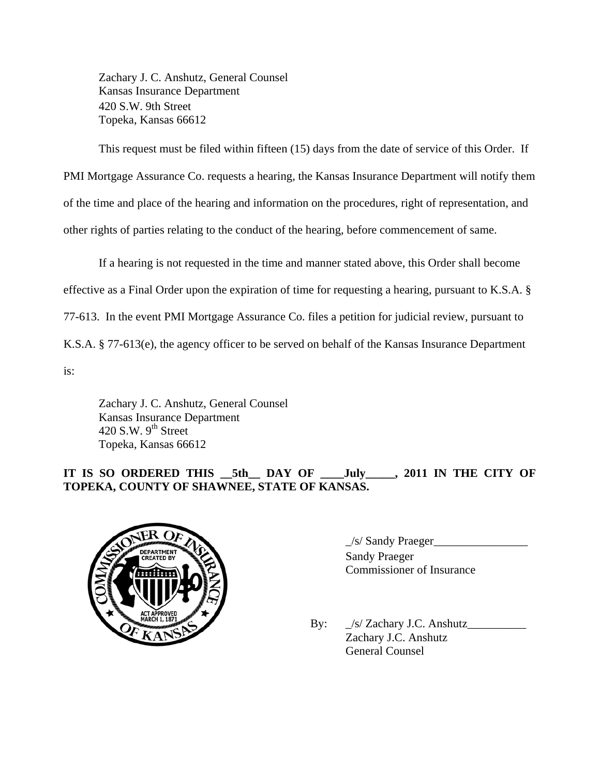Zachary J. C. Anshutz, General Counsel Kansas Insurance Department 420 S.W. 9th Street Topeka, Kansas 66612

 This request must be filed within fifteen (15) days from the date of service of this Order. If PMI Mortgage Assurance Co. requests a hearing, the Kansas Insurance Department will notify them of the time and place of the hearing and information on the procedures, right of representation, and other rights of parties relating to the conduct of the hearing, before commencement of same.

 If a hearing is not requested in the time and manner stated above, this Order shall become effective as a Final Order upon the expiration of time for requesting a hearing, pursuant to K.S.A. § 77-613. In the event PMI Mortgage Assurance Co. files a petition for judicial review, pursuant to K.S.A. § 77-613(e), the agency officer to be served on behalf of the Kansas Insurance Department is:

 Zachary J. C. Anshutz, General Counsel Kansas Insurance Department 420 S.W.  $9<sup>th</sup>$  Street Topeka, Kansas 66612

# **IT IS SO ORDERED THIS \_\_5th\_\_ DAY OF \_\_\_\_July\_\_\_\_\_, 2011 IN THE CITY OF TOPEKA, COUNTY OF SHAWNEE, STATE OF KANSAS.**



 $\angle$ /s/ Sandy Praeger $\angle$  Sandy Praeger Commissioner of Insurance

By:  $\int_S$  Zachary J.C. Anshutz Zachary J.C. Anshutz General Counsel